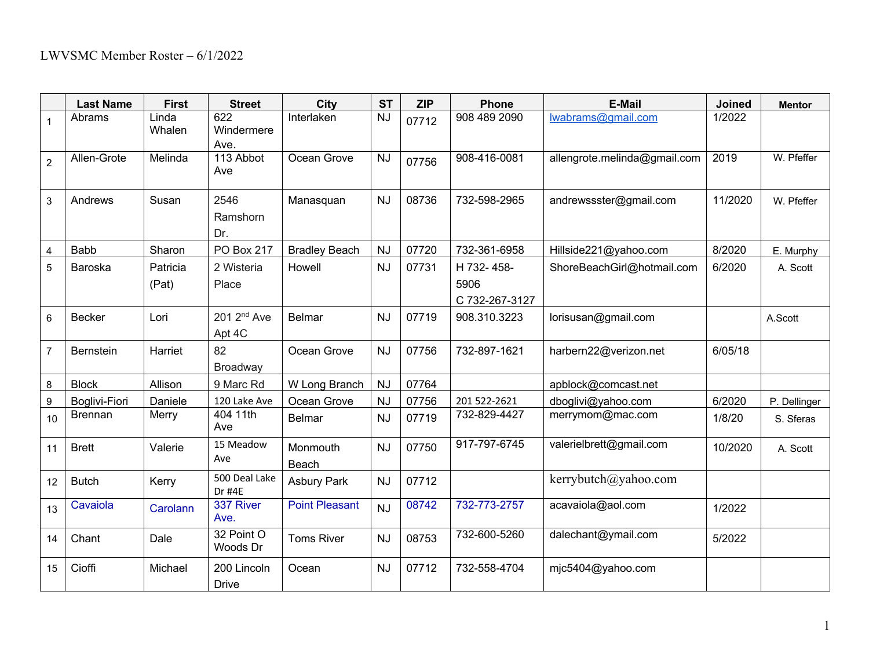|                         | <b>Last Name</b>     | <b>First</b>      | <b>Street</b>                     | <b>City</b>           | <b>ST</b> | <b>ZIP</b> | <b>Phone</b>                         | <b>E-Mail</b>                | Joined  | <b>Mentor</b> |
|-------------------------|----------------------|-------------------|-----------------------------------|-----------------------|-----------|------------|--------------------------------------|------------------------------|---------|---------------|
| $\overline{1}$          | Abrams               | Linda<br>Whalen   | 622<br>Windermere<br>Ave.         | Interlaken            | <b>NJ</b> | 07712      | 908 489 2090                         | lwabrams@gmail.com           | 1/2022  |               |
| $\overline{2}$          | Allen-Grote          | Melinda           | 113 Abbot<br>Ave                  | Ocean Grove           | <b>NJ</b> | 07756      | 908-416-0081                         | allengrote.melinda@gmail.com | 2019    | W. Pfeffer    |
| 3                       | Andrews              | Susan             | 2546<br>Ramshorn<br>Dr.           | Manasquan             | <b>NJ</b> | 08736      | 732-598-2965                         | andrewssster@gmail.com       | 11/2020 | W. Pfeffer    |
| $\overline{\mathbf{4}}$ | Babb                 | Sharon            | <b>PO Box 217</b>                 | <b>Bradley Beach</b>  | <b>NJ</b> | 07720      | 732-361-6958                         | Hillside221@yahoo.com        | 8/2020  | E. Murphy     |
| 5                       | Baroska              | Patricia<br>(Pat) | 2 Wisteria<br>Place               | Howell                | <b>NJ</b> | 07731      | H 732-458-<br>5906<br>C 732-267-3127 | ShoreBeachGirl@hotmail.com   | 6/2020  | A. Scott      |
| 6                       | <b>Becker</b>        | Lori              | 201 2 <sup>nd</sup> Ave<br>Apt 4C | Belmar                | <b>NJ</b> | 07719      | 908.310.3223                         | lorisusan@gmail.com          |         | A.Scott       |
| $\overline{7}$          | <b>Bernstein</b>     | Harriet           | 82<br>Broadway                    | Ocean Grove           | <b>NJ</b> | 07756      | 732-897-1621                         | harbern22@verizon.net        | 6/05/18 |               |
| 8                       | <b>Block</b>         | Allison           | 9 Marc Rd                         | W Long Branch         | <b>NJ</b> | 07764      |                                      | apblock@comcast.net          |         |               |
| 9                       | <b>Boglivi-Fiori</b> | Daniele           | 120 Lake Ave                      | Ocean Grove           | <b>NJ</b> | 07756      | 201 522-2621                         | dboglivi@yahoo.com           | 6/2020  | P. Dellinger  |
| 10                      | <b>Brennan</b>       | Merry             | 404 11th<br>Ave                   | <b>Belmar</b>         | <b>NJ</b> | 07719      | 732-829-4427                         | merrymom@mac.com             | 1/8/20  | S. Sferas     |
| 11                      | <b>Brett</b>         | Valerie           | 15 Meadow<br>Ave                  | Monmouth<br>Beach     | <b>NJ</b> | 07750      | 917-797-6745                         | valerielbrett@gmail.com      | 10/2020 | A. Scott      |
| 12                      | <b>Butch</b>         | Kerry             | 500 Deal Lake<br>Dr #4E           | <b>Asbury Park</b>    | <b>NJ</b> | 07712      |                                      | kerrybutch@yahoo.com         |         |               |
| 13                      | Cavaiola             | Carolann          | 337 River<br>Ave.                 | <b>Point Pleasant</b> | <b>NJ</b> | 08742      | 732-773-2757                         | acavaiola@aol.com            | 1/2022  |               |
| 14                      | Chant                | Dale              | 32 Point O<br>Woods Dr            | <b>Toms River</b>     | <b>NJ</b> | 08753      | 732-600-5260                         | dalechant@ymail.com          | 5/2022  |               |
| 15                      | Cioffi               | Michael           | 200 Lincoln<br><b>Drive</b>       | Ocean                 | <b>NJ</b> | 07712      | 732-558-4704                         | mjc5404@yahoo.com            |         |               |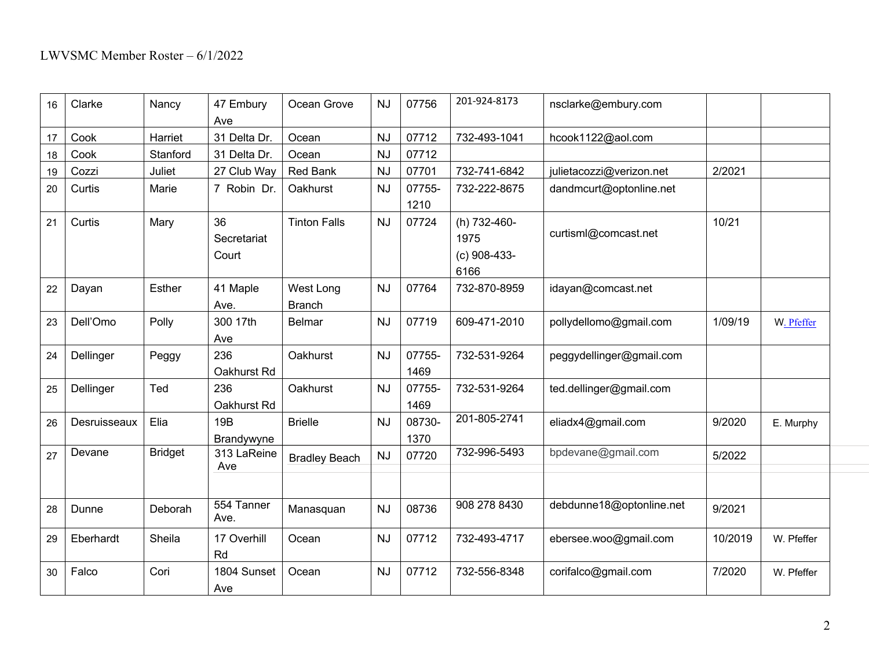| 16 | Clarke       | Nancy          | 47 Embury<br>Ave           | Ocean Grove                | <b>NJ</b> | 07756          | 201-924-8173                                   | nsclarke@embury.com      |         |            |
|----|--------------|----------------|----------------------------|----------------------------|-----------|----------------|------------------------------------------------|--------------------------|---------|------------|
| 17 | Cook         | Harriet        | 31 Delta Dr.               | Ocean                      | <b>NJ</b> | 07712          | 732-493-1041                                   | hcook1122@aol.com        |         |            |
| 18 | Cook         | Stanford       | 31 Delta Dr.               | Ocean                      | <b>NJ</b> | 07712          |                                                |                          |         |            |
| 19 | Cozzi        | Juliet         | 27 Club Way                | <b>Red Bank</b>            | <b>NJ</b> | 07701          | 732-741-6842                                   | julietacozzi@verizon.net | 2/2021  |            |
| 20 | Curtis       | Marie          | 7 Robin Dr.                | Oakhurst                   | <b>NJ</b> | 07755-<br>1210 | 732-222-8675                                   | dandmcurt@optonline.net  |         |            |
| 21 | Curtis       | Mary           | 36<br>Secretariat<br>Court | <b>Tinton Falls</b>        | <b>NJ</b> | 07724          | (h) 732-460-<br>1975<br>$(c)$ 908-433-<br>6166 | curtisml@comcast.net     | 10/21   |            |
| 22 | Dayan        | <b>Esther</b>  | 41 Maple<br>Ave.           | West Long<br><b>Branch</b> | <b>NJ</b> | 07764          | 732-870-8959                                   | idayan@comcast.net       |         |            |
| 23 | Dell'Omo     | Polly          | 300 17th<br>Ave            | <b>Belmar</b>              | <b>NJ</b> | 07719          | 609-471-2010                                   | pollydellomo@gmail.com   | 1/09/19 | W. Pfeffer |
| 24 | Dellinger    | Peggy          | 236<br>Oakhurst Rd         | Oakhurst                   | <b>NJ</b> | 07755-<br>1469 | 732-531-9264                                   | peggydellinger@gmail.com |         |            |
| 25 | Dellinger    | Ted            | 236<br>Oakhurst Rd         | Oakhurst                   | NJ        | 07755-<br>1469 | 732-531-9264                                   | ted.dellinger@gmail.com  |         |            |
| 26 | Desruisseaux | Elia           | 19B<br>Brandywyne          | <b>Brielle</b>             | <b>NJ</b> | 08730-<br>1370 | 201-805-2741                                   | eliadx4@gmail.com        | 9/2020  | E. Murphy  |
| 27 | Devane       | <b>Bridget</b> | 313 LaReine<br>Ave         | <b>Bradley Beach</b>       | <b>NJ</b> | 07720          | 732-996-5493                                   | bpdevane@gmail.com       | 5/2022  |            |
| 28 | Dunne        | Deborah        | 554 Tanner<br>Ave.         | Manasquan                  | <b>NJ</b> | 08736          | 908 278 8430                                   | debdunne18@optonline.net | 9/2021  |            |
| 29 | Eberhardt    | Sheila         | 17 Overhill<br>Rd          | Ocean                      | <b>NJ</b> | 07712          | 732-493-4717                                   | ebersee.woo@gmail.com    | 10/2019 | W. Pfeffer |
| 30 | Falco        | Cori           | 1804 Sunset<br>Ave         | Ocean                      | <b>NJ</b> | 07712          | 732-556-8348                                   | corifalco@gmail.com      | 7/2020  | W. Pfeffer |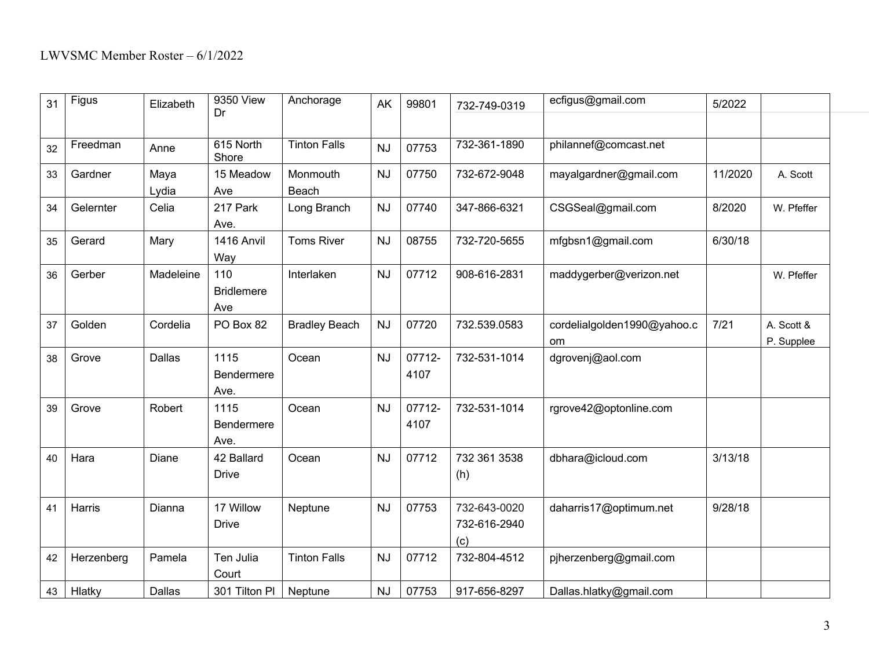| 31 | Figus      | Elizabeth | 9350 View<br>Dr                 | Anchorage            | AK        | 99801          | 732-749-0319                        | ecfigus@gmail.com                 | 5/2022  |                          |
|----|------------|-----------|---------------------------------|----------------------|-----------|----------------|-------------------------------------|-----------------------------------|---------|--------------------------|
|    |            |           |                                 |                      |           |                |                                     |                                   |         |                          |
| 32 | Freedman   | Anne      | 615 North<br>Shore              | <b>Tinton Falls</b>  | <b>NJ</b> | 07753          | 732-361-1890                        | philannef@comcast.net             |         |                          |
| 33 | Gardner    | Maya      | 15 Meadow                       | Monmouth             | <b>NJ</b> | 07750          | 732-672-9048                        | mayalgardner@gmail.com            | 11/2020 | A. Scott                 |
|    |            | Lydia     | Ave                             | Beach                |           |                |                                     |                                   |         |                          |
| 34 | Gelernter  | Celia     | 217 Park<br>Ave.                | Long Branch          | <b>NJ</b> | 07740          | 347-866-6321                        | CSGSeal@gmail.com                 | 8/2020  | W. Pfeffer               |
| 35 | Gerard     | Mary      | 1416 Anvil<br>Way               | <b>Toms River</b>    | <b>NJ</b> | 08755          | 732-720-5655                        | mfgbsn1@gmail.com                 | 6/30/18 |                          |
| 36 | Gerber     | Madeleine | 110<br><b>Bridlemere</b><br>Ave | Interlaken           | <b>NJ</b> | 07712          | 908-616-2831                        | maddygerber@verizon.net           |         | W. Pfeffer               |
| 37 | Golden     | Cordelia  | PO Box 82                       | <b>Bradley Beach</b> | <b>NJ</b> | 07720          | 732.539.0583                        | cordelialgolden1990@yahoo.c<br>om | $7/21$  | A. Scott &<br>P. Supplee |
| 38 | Grove      | Dallas    | 1115<br>Bendermere<br>Ave.      | Ocean                | <b>NJ</b> | 07712-<br>4107 | 732-531-1014                        | dgrovenj@aol.com                  |         |                          |
| 39 | Grove      | Robert    | 1115<br>Bendermere<br>Ave.      | Ocean                | <b>NJ</b> | 07712-<br>4107 | 732-531-1014                        | rgrove42@optonline.com            |         |                          |
| 40 | Hara       | Diane     | 42 Ballard<br><b>Drive</b>      | Ocean                | <b>NJ</b> | 07712          | 732 361 3538<br>(h)                 | dbhara@icloud.com                 | 3/13/18 |                          |
| 41 | Harris     | Dianna    | 17 Willow<br><b>Drive</b>       | Neptune              | <b>NJ</b> | 07753          | 732-643-0020<br>732-616-2940<br>(c) | daharris17@optimum.net            | 9/28/18 |                          |
| 42 | Herzenberg | Pamela    | Ten Julia<br>Court              | <b>Tinton Falls</b>  | <b>NJ</b> | 07712          | 732-804-4512                        | pjherzenberg@gmail.com            |         |                          |
| 43 | Hlatky     | Dallas    | 301 Tilton Pl                   | Neptune              | <b>NJ</b> | 07753          | 917-656-8297                        | Dallas.hlatky@gmail.com           |         |                          |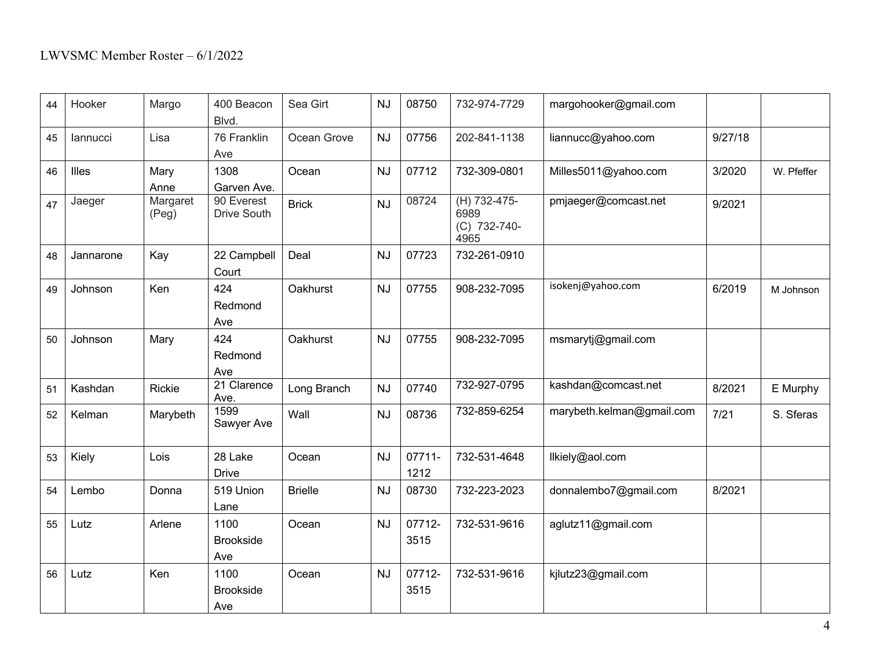| 44 | Hooker    | Margo             | 400 Beacon<br>Blvd.             | Sea Girt       | <b>NJ</b> | 08750          | 732-974-7729                                 | margohooker@gmail.com     |         |            |
|----|-----------|-------------------|---------------------------------|----------------|-----------|----------------|----------------------------------------------|---------------------------|---------|------------|
| 45 | lannucci  | Lisa              | 76 Franklin<br>Ave              | Ocean Grove    | <b>NJ</b> | 07756          | 202-841-1138                                 | liannucc@yahoo.com        | 9/27/18 |            |
| 46 | Illes     | Mary<br>Anne      | 1308<br>Garven Ave.             | Ocean          | <b>NJ</b> | 07712          | 732-309-0801                                 | Milles5011@yahoo.com      | 3/2020  | W. Pfeffer |
| 47 | Jaeger    | Margaret<br>(Peg) | 90 Everest<br>Drive South       | <b>Brick</b>   | <b>NJ</b> | 08724          | (H) 732-475-<br>6989<br>(C) 732-740-<br>4965 | pmjaeger@comcast.net      | 9/2021  |            |
| 48 | Jannarone | Kay               | 22 Campbell<br>Court            | Deal           | <b>NJ</b> | 07723          | 732-261-0910                                 |                           |         |            |
| 49 | Johnson   | Ken               | 424<br>Redmond<br>Ave           | Oakhurst       | <b>NJ</b> | 07755          | 908-232-7095                                 | isokenj@yahoo.com         | 6/2019  | M Johnson  |
| 50 | Johnson   | Mary              | 424<br>Redmond<br>Ave           | Oakhurst       | <b>NJ</b> | 07755          | 908-232-7095                                 | msmarytj@gmail.com        |         |            |
| 51 | Kashdan   | Rickie            | 21 Clarence<br>Ave.             | Long Branch    | <b>NJ</b> | 07740          | 732-927-0795                                 | kashdan@comcast.net       | 8/2021  | E Murphy   |
| 52 | Kelman    | Marybeth          | 1599<br>Sawyer Ave              | Wall           | <b>NJ</b> | 08736          | 732-859-6254                                 | marybeth.kelman@gmail.com | 7/21    | S. Sferas  |
| 53 | Kiely     | Lois              | 28 Lake<br><b>Drive</b>         | Ocean          | <b>NJ</b> | 07711-<br>1212 | 732-531-4648                                 | llkiely@aol.com           |         |            |
| 54 | Lembo     | Donna             | 519 Union<br>Lane               | <b>Brielle</b> | <b>NJ</b> | 08730          | 732-223-2023                                 | donnalembo7@gmail.com     | 8/2021  |            |
| 55 | Lutz      | Arlene            | 1100<br><b>Brookside</b><br>Ave | Ocean          | <b>NJ</b> | 07712-<br>3515 | 732-531-9616                                 | aglutz11@gmail.com        |         |            |
| 56 | Lutz      | Ken               | 1100<br><b>Brookside</b><br>Ave | Ocean          | <b>NJ</b> | 07712-<br>3515 | 732-531-9616                                 | kjlutz23@gmail.com        |         |            |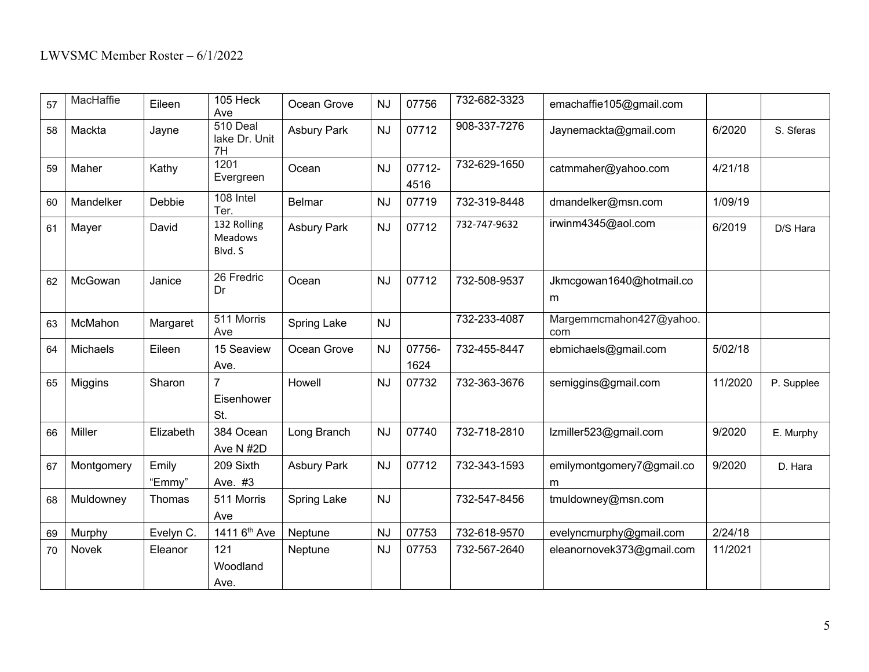| 57 | MacHaffie  | Eileen          | 105 Heck<br>Ave                   | Ocean Grove        | <b>NJ</b> | 07756          | 732-682-3323 | emachaffie105@gmail.com        |         |            |
|----|------------|-----------------|-----------------------------------|--------------------|-----------|----------------|--------------|--------------------------------|---------|------------|
| 58 | Mackta     | Jayne           | 510 Deal<br>lake Dr. Unit<br>7H   | <b>Asbury Park</b> | <b>NJ</b> | 07712          | 908-337-7276 | Jaynemackta@gmail.com          | 6/2020  | S. Sferas  |
| 59 | Maher      | Kathy           | 1201<br>Evergreen                 | Ocean              | <b>NJ</b> | 07712-<br>4516 | 732-629-1650 | catmmaher@yahoo.com            | 4/21/18 |            |
| 60 | Mandelker  | Debbie          | 108 Intel<br>Ter.                 | <b>Belmar</b>      | <b>NJ</b> | 07719          | 732-319-8448 | dmandelker@msn.com             | 1/09/19 |            |
| 61 | Mayer      | David           | 132 Rolling<br>Meadows<br>Blvd. S | <b>Asbury Park</b> | <b>NJ</b> | 07712          | 732-747-9632 | irwinm4345@aol.com             | 6/2019  | D/S Hara   |
| 62 | McGowan    | Janice          | 26 Fredric<br>Dr                  | Ocean              | <b>NJ</b> | 07712          | 732-508-9537 | Jkmcgowan1640@hotmail.co<br>m  |         |            |
| 63 | McMahon    | Margaret        | 511 Morris<br>Ave                 | Spring Lake        | <b>NJ</b> |                | 732-233-4087 | Margemmcmahon427@yahoo.<br>com |         |            |
| 64 | Michaels   | Eileen          | 15 Seaview<br>Ave.                | Ocean Grove        | <b>NJ</b> | 07756-<br>1624 | 732-455-8447 | ebmichaels@gmail.com           | 5/02/18 |            |
| 65 | Miggins    | Sharon          | 7<br>Eisenhower<br>St.            | Howell             | <b>NJ</b> | 07732          | 732-363-3676 | semiggins@gmail.com            | 11/2020 | P. Supplee |
| 66 | Miller     | Elizabeth       | 384 Ocean<br>Ave N #2D            | Long Branch        | <b>NJ</b> | 07740          | 732-718-2810 | Izmiller523@gmail.com          | 9/2020  | E. Murphy  |
| 67 | Montgomery | Emily<br>"Emmy" | 209 Sixth<br>Ave. #3              | <b>Asbury Park</b> | <b>NJ</b> | 07712          | 732-343-1593 | emilymontgomery7@gmail.co<br>m | 9/2020  | D. Hara    |
| 68 | Muldowney  | Thomas          | 511 Morris<br>Ave                 | Spring Lake        | <b>NJ</b> |                | 732-547-8456 | tmuldowney@msn.com             |         |            |
| 69 | Murphy     | Evelyn C.       | 1411 6 <sup>th</sup> Ave          | Neptune            | <b>NJ</b> | 07753          | 732-618-9570 | evelyncmurphy@gmail.com        | 2/24/18 |            |
| 70 | Novek      | Eleanor         | 121<br>Woodland<br>Ave.           | Neptune            | <b>NJ</b> | 07753          | 732-567-2640 | eleanornovek373@gmail.com      | 11/2021 |            |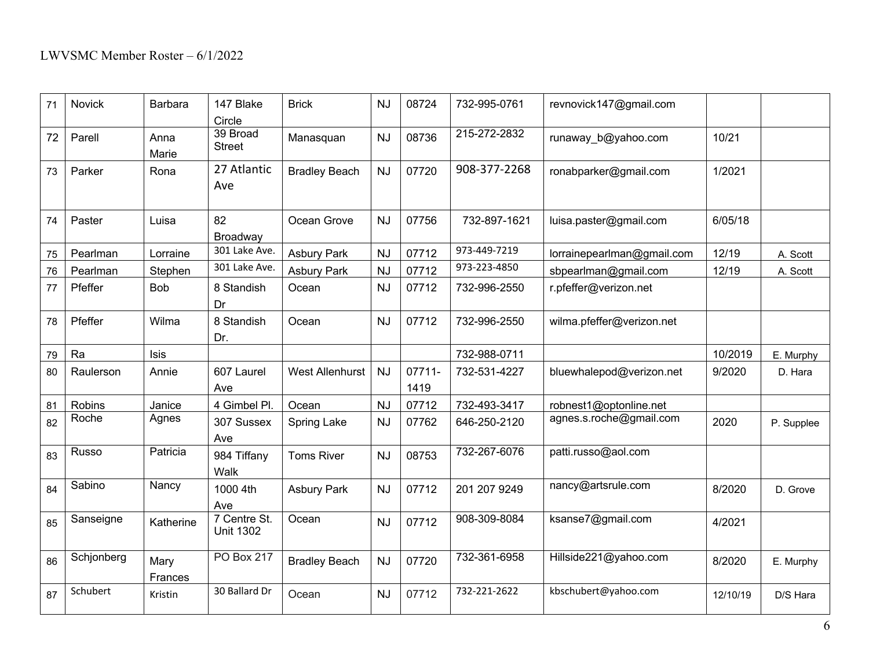| 71 | Novick     | Barbara         | 147 Blake<br>Circle              | <b>Brick</b>           | <b>NJ</b> | 08724          | 732-995-0761 | revnovick147@gmail.com     |          |            |
|----|------------|-----------------|----------------------------------|------------------------|-----------|----------------|--------------|----------------------------|----------|------------|
| 72 | Parell     | Anna<br>Marie   | 39 Broad<br><b>Street</b>        | Manasquan              | <b>NJ</b> | 08736          | 215-272-2832 | runaway b@yahoo.com        | 10/21    |            |
| 73 | Parker     | Rona            | 27 Atlantic<br>Ave               | <b>Bradley Beach</b>   | <b>NJ</b> | 07720          | 908-377-2268 | ronabparker@gmail.com      | 1/2021   |            |
| 74 | Paster     | Luisa           | 82<br>Broadway                   | Ocean Grove            | <b>NJ</b> | 07756          | 732-897-1621 | luisa.paster@gmail.com     | 6/05/18  |            |
| 75 | Pearlman   | Lorraine        | 301 Lake Ave.                    | <b>Asbury Park</b>     | <b>NJ</b> | 07712          | 973-449-7219 | lorrainepearlman@gmail.com | 12/19    | A. Scott   |
| 76 | Pearlman   | Stephen         | 301 Lake Ave.                    | <b>Asbury Park</b>     | <b>NJ</b> | 07712          | 973-223-4850 | sbpearlman@gmail.com       | 12/19    | A. Scott   |
| 77 | Pfeffer    | <b>Bob</b>      | 8 Standish<br>Dr                 | Ocean                  | <b>NJ</b> | 07712          | 732-996-2550 | r.pfeffer@verizon.net      |          |            |
| 78 | Pfeffer    | Wilma           | 8 Standish<br>Dr.                | Ocean                  | <b>NJ</b> | 07712          | 732-996-2550 | wilma.pfeffer@verizon.net  |          |            |
| 79 | Ra         | <b>Isis</b>     |                                  |                        |           |                | 732-988-0711 |                            | 10/2019  | E. Murphy  |
| 80 | Raulerson  | Annie           | 607 Laurel<br>Ave                | <b>West Allenhurst</b> | <b>NJ</b> | 07711-<br>1419 | 732-531-4227 | bluewhalepod@verizon.net   | 9/2020   | D. Hara    |
| 81 | Robins     | Janice          | 4 Gimbel Pl.                     | Ocean                  | <b>NJ</b> | 07712          | 732-493-3417 | robnest1@optonline.net     |          |            |
| 82 | Roche      | Agnes           | 307 Sussex<br>Ave                | Spring Lake            | <b>NJ</b> | 07762          | 646-250-2120 | agnes.s.roche@gmail.com    | 2020     | P. Supplee |
| 83 | Russo      | Patricia        | 984 Tiffany<br>Walk              | <b>Toms River</b>      | <b>NJ</b> | 08753          | 732-267-6076 | patti.russo@aol.com        |          |            |
| 84 | Sabino     | Nancy           | 1000 4th<br>Ave                  | <b>Asbury Park</b>     | <b>NJ</b> | 07712          | 201 207 9249 | nancy@artsrule.com         | 8/2020   | D. Grove   |
| 85 | Sanseigne  | Katherine       | 7 Centre St.<br><b>Unit 1302</b> | Ocean                  | <b>NJ</b> | 07712          | 908-309-8084 | ksanse7@gmail.com          | 4/2021   |            |
| 86 | Schjonberg | Mary<br>Frances | PO Box 217                       | <b>Bradley Beach</b>   | <b>NJ</b> | 07720          | 732-361-6958 | Hillside221@yahoo.com      | 8/2020   | E. Murphy  |
| 87 | Schubert   | Kristin         | 30 Ballard Dr                    | Ocean                  | <b>NJ</b> | 07712          | 732-221-2622 | kbschubert@yahoo.com       | 12/10/19 | D/S Hara   |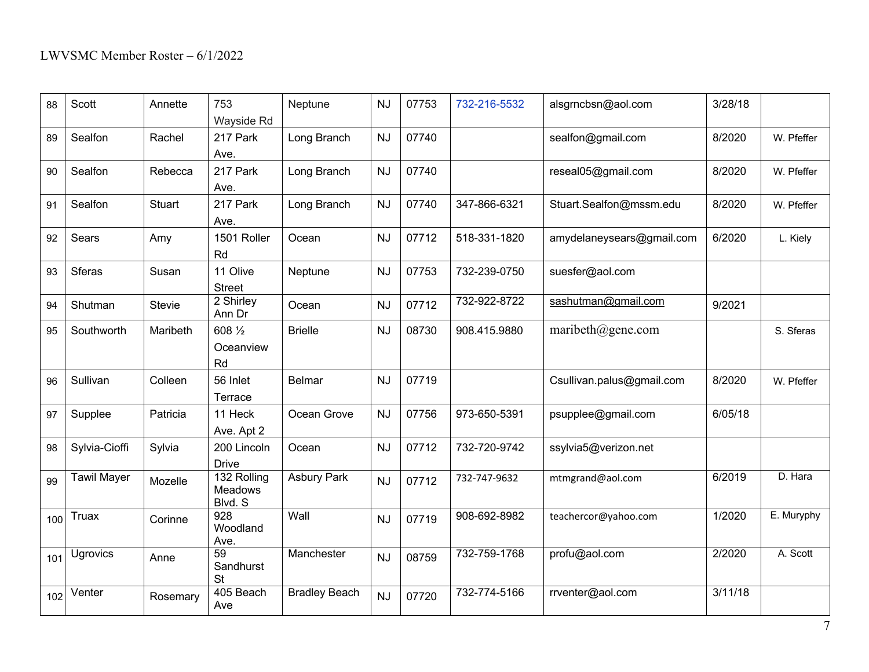| 88  | Scott              | Annette       | 753<br>Wayside Rd                        | Neptune              | <b>NJ</b> | 07753 | 732-216-5532 | alsgrncbsn@aol.com        | 3/28/18 |            |
|-----|--------------------|---------------|------------------------------------------|----------------------|-----------|-------|--------------|---------------------------|---------|------------|
| 89  | Sealfon            | Rachel        | 217 Park<br>Ave.                         | Long Branch          | <b>NJ</b> | 07740 |              | sealfon@gmail.com         | 8/2020  | W. Pfeffer |
| 90  | Sealfon            | Rebecca       | 217 Park<br>Ave.                         | Long Branch          | <b>NJ</b> | 07740 |              | reseal05@gmail.com        | 8/2020  | W. Pfeffer |
| 91  | Sealfon            | <b>Stuart</b> | 217 Park<br>Ave.                         | Long Branch          | <b>NJ</b> | 07740 | 347-866-6321 | Stuart.Sealfon@mssm.edu   | 8/2020  | W. Pfeffer |
| 92  | Sears              | Amy           | 1501 Roller<br>Rd                        | Ocean                | <b>NJ</b> | 07712 | 518-331-1820 | amydelaneysears@gmail.com | 6/2020  | L. Kiely   |
| 93  | <b>Sferas</b>      | Susan         | 11 Olive<br><b>Street</b>                | Neptune              | <b>NJ</b> | 07753 | 732-239-0750 | suesfer@aol.com           |         |            |
| 94  | Shutman            | <b>Stevie</b> | 2 Shirley<br>Ann Dr                      | Ocean                | <b>NJ</b> | 07712 | 732-922-8722 | sashutman@gmail.com       | 9/2021  |            |
| 95  | Southworth         | Maribeth      | 608 1/2<br>Oceanview<br>Rd               | <b>Brielle</b>       | <b>NJ</b> | 08730 | 908.415.9880 | maribeth $@gen$ e.com     |         | S. Sferas  |
| 96  | Sullivan           | Colleen       | 56 Inlet<br>Terrace                      | <b>Belmar</b>        | <b>NJ</b> | 07719 |              | Csullivan.palus@gmail.com | 8/2020  | W. Pfeffer |
| 97  | Supplee            | Patricia      | 11 Heck<br>Ave. Apt 2                    | Ocean Grove          | <b>NJ</b> | 07756 | 973-650-5391 | psupplee@gmail.com        | 6/05/18 |            |
| 98  | Sylvia-Cioffi      | Sylvia        | 200 Lincoln<br><b>Drive</b>              | Ocean                | <b>NJ</b> | 07712 | 732-720-9742 | ssylvia5@verizon.net      |         |            |
| 99  | <b>Tawil Mayer</b> | Mozelle       | 132 Rolling<br><b>Meadows</b><br>Blvd. S | <b>Asbury Park</b>   | <b>NJ</b> | 07712 | 732-747-9632 | mtmgrand@aol.com          | 6/2019  | D. Hara    |
| 100 | Truax              | Corinne       | $\overline{928}$<br>Woodland<br>Ave.     | Wall                 | <b>NJ</b> | 07719 | 908-692-8982 | teachercor@yahoo.com      | 1/2020  | E. Muryphy |
| 101 | Ugrovics           | Anne          | 59<br>Sandhurst<br><b>St</b>             | Manchester           | <b>NJ</b> | 08759 | 732-759-1768 | profu@aol.com             | 2/2020  | A. Scott   |
| 102 | Venter             | Rosemary      | 405 Beach<br>Ave                         | <b>Bradley Beach</b> | <b>NJ</b> | 07720 | 732-774-5166 | rrventer@aol.com          | 3/11/18 |            |